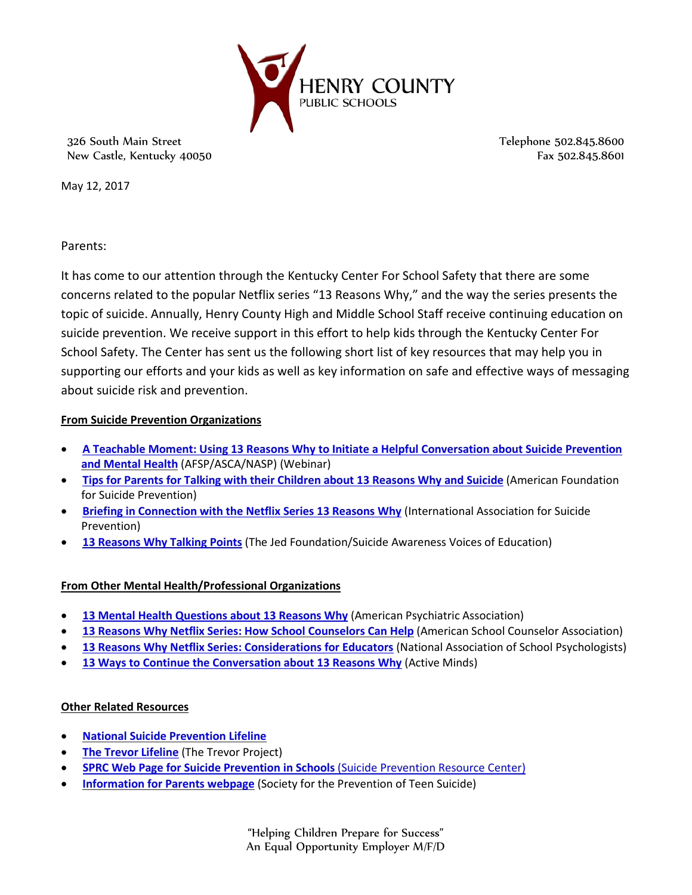

326 South Main Street New Castle, Kentucky 40050 Telephone 502.845.8600 Fax 502.845.8601

May 12, 2017

Parents:

It has come to our attention through the Kentucky Center For School Safety that there are some concerns related to the popular Netflix series "13 Reasons Why," and the way the series presents the topic of suicide. Annually, Henry County High and Middle School Staff receive continuing education on suicide prevention. We receive support in this effort to help kids through the Kentucky Center For School Safety. The Center has sent us the following short list of key resources that may help you in supporting our efforts and your kids as well as key information on safe and effective ways of messaging about suicide risk and prevention.

## **From Suicide Prevention Organizations**

- **[A Teachable Moment: Using 13 Reasons Why to Initiate a Helpful Conversation about Suicide Prevention](https://www.youtube.com/watch?v=4CC-j73_LnE&feature=youtu.be)  [and Mental Health](https://www.youtube.com/watch?v=4CC-j73_LnE&feature=youtu.be)** (AFSP/ASCA/NASP) (Webinar)
- **[Tips for Parents for Talking with their Children about 13 Reasons Why and Suicide](https://www.schoolcounselor.org/asca/media/asca/FactSheets/AFSP13Reasons.pdf)** (American Foundation for Suicide Prevention)
- **Briefing in Connection [with the Netflix Series 13 Reasons Why](https://www.iasp.info/pdf/2017_iasp_statement_13_reasons_why.pdf)** (International Association for Suicide Prevention)
- **[13 Reasons Why Talking Points](http://13reasonswhy.info/assets/pdf/13RW%20Talking%20Points%20Final.pdf)** (The Jed Foundation/Suicide Awareness Voices of Education)

## **From Other Mental Health/Professional Organizations**

- **[13 Mental Health Questions about 13 Reasons Why](https://www.psychiatry.org/news-room/apa-blogs/apa-blog/2017/04/13-mental-health-questions-about-13-reasons-why) (American Psychiatric Association)**
- **[13 Reasons Why Netflix Series: How School Counselors Can Help](https://www.schoolcounselor.org/asca/media/asca/FactSheets/13ReasonsFactSheet.pdf)** (American School Counselor Association)
- **[13 Reasons Why Netflix Series: Considerations for Educators](https://www.schoolcounselor.org/asca/media/asca/FactSheets/NASP13Reasons.pdf)** (National Association of School Psychologists)
- **[13 Ways to Continue the Conversation about 13 Reasons Why](http://activemindsblog.org/13-ways-to-continue-the-conversation-about-13-reasons-why/) (Active Minds)**

## **Other Related Resources**

- **[National Suicide Prevention Lifeline](https://suicidepreventionlifeline.org/)**
- **[The Trevor Lifeline](http://www.thetrevorproject.org/pages/get-help-now)** (The Trevor Project)
- **[SPRC Web Page for Suicide Prevention in Schools](http://www.sprc.org/settings/schools)** (Suicide Prevention Resource Center)
- **[Information for Parents webpage](http://www.sptsusa.org/parents/)** (Society for the Prevention of Teen Suicide)

"Helping Children Prepare for Success" An Equal Opportunity Employer M/F/D